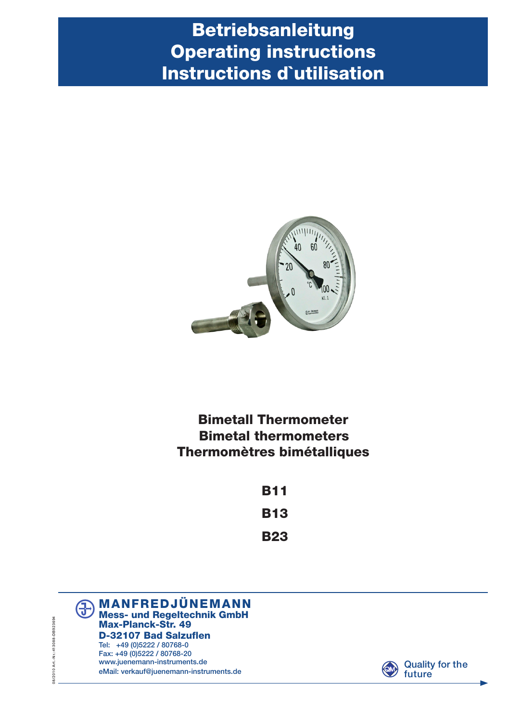# Betriebsanleitung Operating instructions Instructions d`utilisation



Bimetall Thermometer Bimetal thermometers Thermomètres bimétalliques

| B11        |
|------------|
| <b>B13</b> |
| <b>B23</b> |





08/2010 Art - Nr.:413088-DB923694 08/2010 Art.-Nr.:413088-DB923694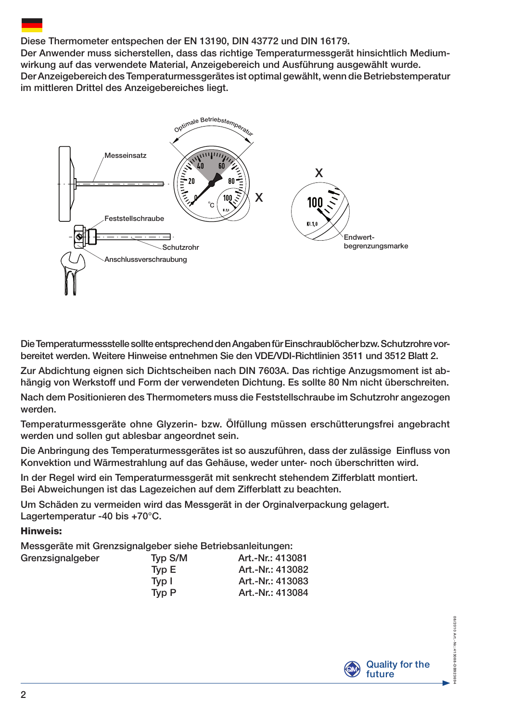## Diese Thermometer entspechen der EN 13190, DIN 43772 und DIN 16179.

Der Anwender muss sicherstellen, dass das richtige Temperaturmessgerät hinsichtlich Mediumwirkung auf das verwendete Material, Anzeigebereich und Ausführung ausgewählt wurde. Der Anzeigebereich des Temperaturmessgerätes ist optimal gewählt, wenn die Betriebstemperatur im mittleren Drittel des Anzeigebereiches liegt.



Die Temperaturmessstelle sollte entsprechend den Angaben für Einschraublöcher bzw. Schutzrohre vorbereitet werden. Weitere Hinweise entnehmen Sie den VDE/VDI-Richtlinien 3511 und 3512 Blatt 2.

Zur Abdichtung eignen sich Dichtscheiben nach DIN 7603A. Das richtige Anzugsmoment ist abhängig von Werkstoff und Form der verwendeten Dichtung. Es sollte 80 Nm nicht überschreiten.

Nach dem Positionieren des Thermometers muss die Feststellschraube im Schutzrohr angezogen werden.

Temperaturmessgeräte ohne Glyzerin- bzw. Ölfüllung müssen erschütterungsfrei angebracht werden und sollen gut ablesbar angeordnet sein.

Die Anbringung des Temperaturmessgerätes ist so auszuführen, dass der zulässige Einfluss von Konvektion und Wärmestrahlung auf das Gehäuse, weder unter- noch überschritten wird.

In der Regel wird ein Temperaturmessgerät mit senkrecht stehendem Zifferblatt montiert. Bei Abweichungen ist das Lagezeichen auf dem Zifferblatt zu beachten.

Um Schäden zu vermeiden wird das Messgerät in der Orginalverpackung gelagert. Lagertemperatur -40 bis +70°C.

#### Hinweis:

Messgeräte mit Grenzsignalgeber siehe Betriebsanleitungen: Grenzsignalgeber

|       | Art.-Nr.: 413081 |  |  |
|-------|------------------|--|--|
| Tvp E | Art.-Nr.: 413082 |  |  |
| Tvp I | Art.-Nr.: 413083 |  |  |
| Tvp P | Art.-Nr.: 413084 |  |  |
|       | Typ S/M          |  |  |



08/2010 Art.-Nr.:41309-DB923694

**C.34 13088-DBS** 923694

08/2010 Art - Nr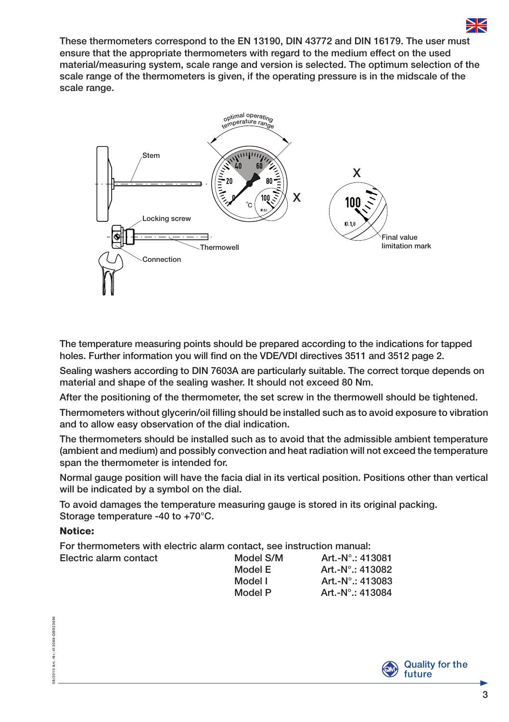

These thermometers correspond to the EN 13190, DIN 43772 and DIN 16179. The user must ensure that the appropriate thermometers with regard to the medium effect on the used material/measuring system, scale range and version is selected. The optimum selection of the scale range of the thermometers is given, if the operating pressure is in the midscale of the scale range.



The temperature measuring points should be prepared according to the indications for tapped holes. Further information you will find on the VDE/VDI directives 3511 and 3512 page 2.

Sealing washers according to DIN 7603A are particularly suitable. The correct torque depends on material and shape of the sealing washer. It should not exceed 80 Nm.

After the positioning of the thermometer, the set screw in the thermowell should be tightened.

Thermometers without glycerin/oil filling should be installed such as to avoid exposure to vibration and to allow easy observation of the dial indication.

The thermometers should be installed such as to avoid that the admissible ambient temperature (ambient and medium) and possibly convection and heat radiation will not exceed the temperature span the thermometer is intended for.

Normal gauge position will have the facia dial in its vertical position. Positions other than vertical will be indicated by a symbol on the dial.

To avoid damages the temperature measuring gauge is stored in its original packing. Storage temperature -40 to +70°C.

#### Notice:

For thermometers with electric alarm contact, see instruction manual:

| Electric alarm contact | Model S/M | Art.-N°.: 413081            |
|------------------------|-----------|-----------------------------|
|                        | Model E   | Art.-N° $\therefore$ 413082 |
|                        | Model I   | Art.-N° $\therefore$ 413083 |
|                        | Model P   | Art.-N° $\therefore$ 413084 |



Art .- Nr.: 413088-DB923694 08/2010 Art.-Nr.:413088-DB923694